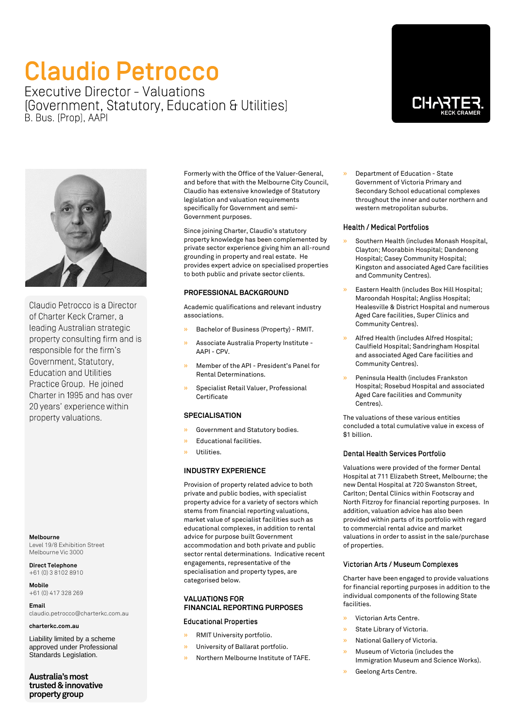# **Claudio Petrocco**

Executive Director - Valuations [Government, Statutory, Education & Utilities] B. Bus. (Prop), AAPI





Claudio Petrocco is a Director of Charter Keck Cramer, a leading Australian strategic property consulting firm and is responsible for the firm's Government, Statutory, **Education and Utilities** Practice Group. He joined Charter in 1995 and has over 20 years' experience within property valuations.

**Melbourne** Level 19/8 Exhibition Street Melbourne Vic 3000

**Direct Telephone** +61 (0) 3 8102 8910

**Mobile** +61 (0) 417 328 269

**Email** claudio.petrocco@charterkc.com.au

**charterkc.com.au**

Liability limited by a scheme approved under Professional Standards Legislation.

**Australia's most trusted & innovative property group**

Formerly with the Office of the Valuer-General, and before that with the Melbourne City Council, Claudio has extensive knowledge of Statutory legislation and valuation requirements specifically for Government and semi-Government purposes.

Since joining Charter, Claudio's statutory property knowledge has been complemented by private sector experience giving him an all-round grounding in property and real estate. He provides expert advice on specialised properties to both public and private sector clients.

# **PROFESSIONAL BACKGROUND**

Academic qualifications and relevant industry associations.

- » Bachelor of Business (Property) RMIT.
- » Associate Australia Property Institute AAPI - CPV.
- » Member of the API President's Panel for Rental Determinations.
- » Specialist Retail Valuer, Professional **Certificate**

## **SPECIALISATION**

- Government and Statutory bodies.
- » Educational facilities.
- » Utilities.

#### **INDUSTRY EXPERIENCE**

Provision of property related advice to both private and public bodies, with specialist property advice for a variety of sectors which stems from financial reporting valuations, market value of specialist facilities such as educational complexes, in addition to rental advice for purpose built Government accommodation and both private and public sector rental determinations. Indicative recent engagements, representative of the specialisation and property types, are categorised below.

# **VALUATIONS FOR FINANCIAL REPORTING PURPOSES**

# **Educational Properties**

- » RMIT University portfolio.
- » University of Ballarat portfolio.
- » Northern Melbourne Institute of TAFE.

» Department of Education - State Government of Victoria Primary and Secondary School educational complexes throughout the inner and outer northern and western metropolitan suburbs.

#### **Health / Medical Portfolios**

- » Southern Health (includes Monash Hospital, Clayton; Moorabbin Hospital; Dandenong Hospital; Casey Community Hospital; Kingston and associated Aged Care facilities and Community Centres).
- » Eastern Health (includes Box Hill Hospital; Maroondah Hospital; Angliss Hospital; Healesville & District Hospital and numerous Aged Care facilities, Super Clinics and Community Centres).
- » Alfred Health (includes Alfred Hospital; Caulfield Hospital; Sandringham Hospital and associated Aged Care facilities and Community Centres).
- » Peninsula Health (includes Frankston Hospital; Rosebud Hospital and associated Aged Care facilities and Community Centres).

The valuations of these various entities concluded a total cumulative value in excess of \$1 billion.

#### **Dental Health Services Portfolio**

Valuations were provided of the former Dental Hospital at 711 Elizabeth Street, Melbourne; the new Dental Hospital at 720 Swanston Street, Carlton; Dental Clinics within Footscray and North Fitzroy for financial reporting purposes. In addition, valuation advice has also been provided within parts of its portfolio with regard to commercial rental advice and market valuations in order to assist in the sale/purchase of properties.

#### Victorian Arts / Museum Complexes

Charter have been engaged to provide valuations for financial reporting purposes in addition to the individual components of the following State facilities.

- » Victorian Arts Centre.
- » State Library of Victoria.
- » National Gallery of Victoria.
- » Museum of Victoria (includes the Immigration Museum and Science Works).
- » Geelong Arts Centre.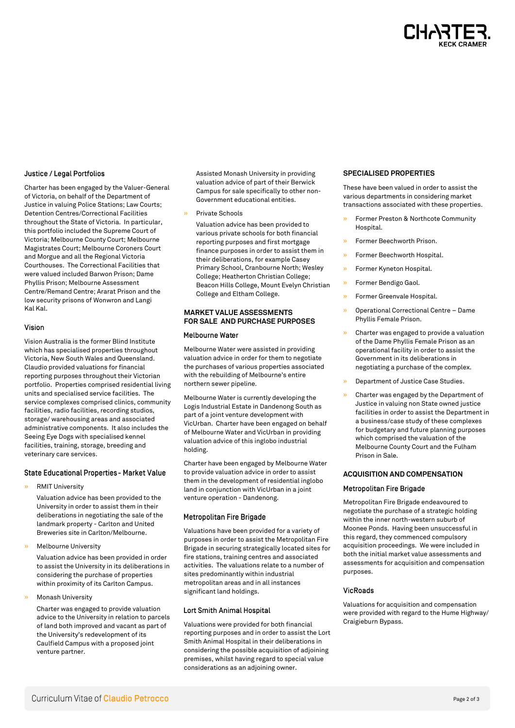

#### Justice / Legal Portfolios

Charter has been engaged by the Valuer-General of Victoria, on behalf of the Department of Justice in valuing Police Stations; Law Courts; Detention Centres/Correctional Facilities throughout the State of Victoria. In particular, this portfolio included the Supreme Court of Victoria; Melbourne County Court; Melbourne Magistrates Court; Melbourne Coroners Court and Morgue and all the Regional Victoria Courthouses. The Correctional Facilities that were valued included Barwon Prison; Dame Phyllis Prison; Melbourne Assessment Centre/Remand Centre; Ararat Prison and the low security prisons of Wonwron and Langi Kal Kal.

#### Vision

Vision Australia is the former Blind Institute which has specialised properties throughout Victoria, New South Wales and Queensland. Claudio provided valuations for financial reporting purposes throughout their Victorian portfolio. Properties comprised residential living units and specialised service facilities. The service complexes comprised clinics, community facilities, radio facilities, recording studios, storage/ warehousing areas and associated administrative components. It also includes the Seeing Eye Dogs with specialised kennel facilities, training, storage, breeding and veterinary care services.

#### State Educational Properties - Market Value

» RMIT University

Valuation advice has been provided to the University in order to assist them in their deliberations in negotiating the sale of the landmark property - Carlton and United Breweries site in Carlton/Melbourne.

» Melbourne University

Valuation advice has been provided in order to assist the University in its deliberations in considering the purchase of properties within proximity of its Carlton Campus.

» Monash University

Charter was engaged to provide valuation advice to the University in relation to parcels of land both improved and vacant as part of the University's redevelopment of its Caulfield Campus with a proposed joint venture partner.

Assisted Monash University in providing valuation advice of part of their Berwick Campus for sale specifically to other non-Government educational entities.

» Private Schools

Valuation advice has been provided to various private schools for both financial reporting purposes and first mortgage finance purposes in order to assist them in their deliberations, for example Casey Primary School, Cranbourne North; Wesley College; Heatherton Christian College; Beacon Hills College, Mount Evelyn Christian College and Eltham College.

### **MARKET VALUE ASSESSMENTS FOR SALE AND PURCHASE PURPOSES**

### Melbourne Water

Melbourne Water were assisted in providing valuation advice in order for them to negotiate the purchases of various properties associated with the rebuilding of Melbourne's entire northern sewer pipeline.

Melbourne Water is currently developing the Logis Industrial Estate in Dandenong South as part of a joint venture development with VicUrban. Charter have been engaged on behalf of Melbourne Water and VicUrban in providing valuation advice of this inglobo industrial holding.

Charter have been engaged by Melbourne Water to provide valuation advice in order to assist them in the development of residential inglobo land in conjunction with VicUrban in a joint venture operation - Dandenong.

#### Metropolitan Fire Brigade

Valuations have been provided for a variety of purposes in order to assist the Metropolitan Fire Brigade in securing strategically located sites for fire stations, training centres and associated activities. The valuations relate to a number of sites predominantly within industrial metropolitan areas and in all instances significant land holdings.

#### Lort Smith Animal Hospital

Valuations were provided for both financial reporting purposes and in order to assist the Lort Smith Animal Hospital in their deliberations in considering the possible acquisition of adjoining premises, whilst having regard to special value considerations as an adjoining owner.

#### **SPECIALISED PROPERTIES**

These have been valued in order to assist the various departments in considering market transactions associated with these properties.

- » Former Preston & Northcote Community **Hospital**
- » Former Beechworth Prison.
- » Former Beechworth Hospital.
- » Former Kyneton Hospital.
- » Former Bendigo Gaol.
- » Former Greenvale Hospital.
- » Operational Correctional Centre Dame Phyllis Female Prison.
- » Charter was engaged to provide a valuation of the Dame Phyllis Female Prison as an operational facility in order to assist the Government in its deliberations in negotiating a purchase of the complex.
- » Department of Justice Case Studies.
- » Charter was engaged by the Department of Justice in valuing non State owned justice facilities in order to assist the Department in a business/case study of these complexes for budgetary and future planning purposes which comprised the valuation of the Melbourne County Court and the Fulham Prison in Sale.

#### **ACQUISITION AND COMPENSATION**

#### Metropolitan Fire Brigade

Metropolitan Fire Brigade endeavoured to negotiate the purchase of a strategic holding within the inner north-western suburb of Moonee Ponds. Having been unsuccessful in this regard, they commenced compulsory acquisition proceedings. We were included in both the initial market value assessments and assessments for acquisition and compensation purposes.

### **VicRoads**

Valuations for acquisition and compensation were provided with regard to the Hume Highway/ Craigieburn Bypass.